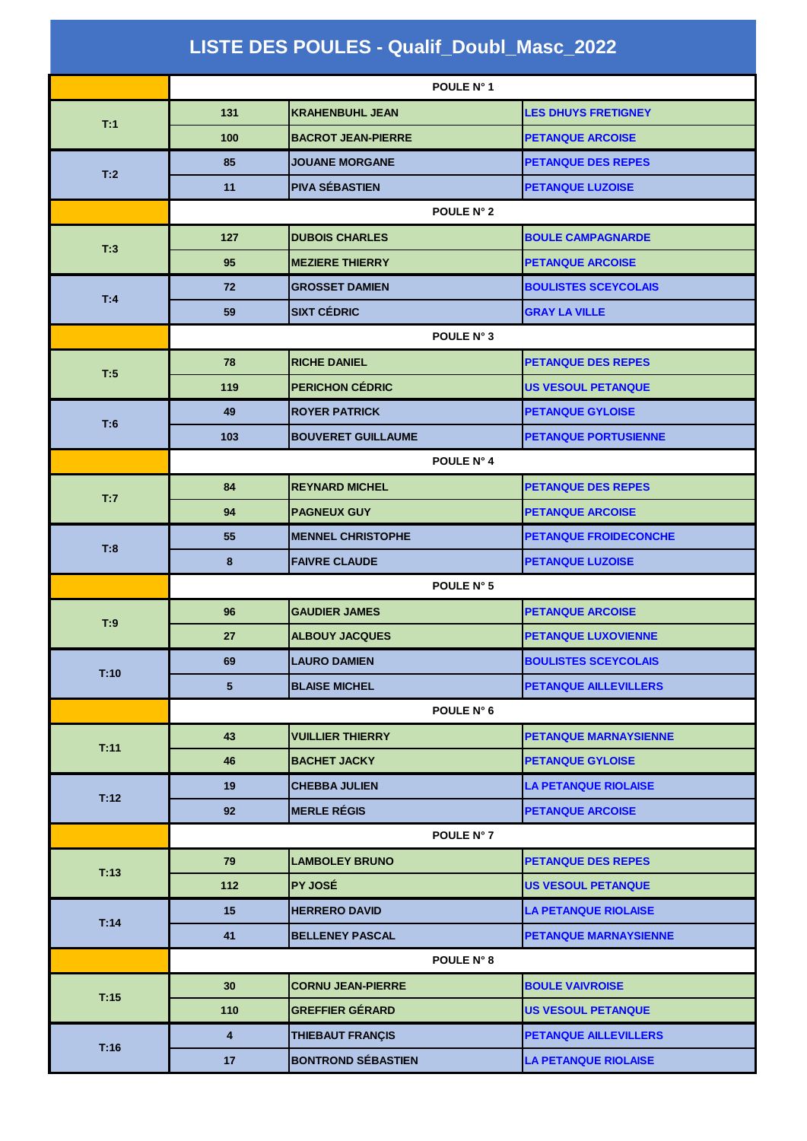| LISTE DES POULES - Qualif_Doubl_Masc_2022 |                         |                           |                              |
|-------------------------------------------|-------------------------|---------------------------|------------------------------|
|                                           |                         | POULE N° 1                |                              |
|                                           | 131                     | <b>KRAHENBUHL JEAN</b>    | <b>LES DHUYS FRETIGNEY</b>   |
| T:1                                       | 100                     | <b>BACROT JEAN-PIERRE</b> | <b>PETANQUE ARCOISE</b>      |
|                                           | 85                      | <b>JOUANE MORGANE</b>     | <b>PETANQUE DES REPES</b>    |
| T:2                                       | 11                      | <b>PIVA SÉBASTIEN</b>     | <b>PETANQUE LUZOISE</b>      |
|                                           |                         | POULE N° 2                |                              |
|                                           | 127                     | <b>DUBOIS CHARLES</b>     | <b>BOULE CAMPAGNARDE</b>     |
| T:3                                       | 95                      | <b>MEZIERE THIERRY</b>    | <b>PETANQUE ARCOISE</b>      |
|                                           | 72                      | <b>GROSSET DAMIEN</b>     | <b>BOULISTES SCEYCOLAIS</b>  |
| T:4                                       | 59                      | <b>SIXT CÉDRIC</b>        | <b>GRAY LA VILLE</b>         |
|                                           | POULE N° 3              |                           |                              |
| T:5                                       | 78                      | <b>RICHE DANIEL</b>       | <b>PETANQUE DES REPES</b>    |
|                                           | 119                     | <b>PERICHON CÉDRIC</b>    | <b>US VESOUL PETANQUE</b>    |
| T:6                                       | 49                      | <b>ROYER PATRICK</b>      | <b>PETANQUE GYLOISE</b>      |
|                                           | 103                     | <b>BOUVERET GUILLAUME</b> | <b>PETANQUE PORTUSIENNE</b>  |
|                                           | POULE N° 4              |                           |                              |
| T:7                                       | 84                      | <b>REYNARD MICHEL</b>     | <b>PETANQUE DES REPES</b>    |
|                                           | 94                      | <b>PAGNEUX GUY</b>        | <b>PETANQUE ARCOISE</b>      |
| T:8                                       | 55                      | <b>MENNEL CHRISTOPHE</b>  | <b>PETANQUE FROIDECONCHE</b> |
|                                           | 8                       | <b>FAIVRE CLAUDE</b>      | <b>PETANQUE LUZOISE</b>      |
|                                           | POULE N° 5              |                           |                              |
| T:9                                       | 96                      | <b>GAUDIER JAMES</b>      | <b>PETANQUE ARCOISE</b>      |
|                                           | 27                      | <b>ALBOUY JACQUES</b>     | <b>PETANQUE LUXOVIENNE</b>   |
| T:10                                      | 69                      | <b>LAURO DAMIEN</b>       | <b>BOULISTES SCEYCOLAIS</b>  |
|                                           | $5\phantom{.0}$         | <b>BLAISE MICHEL</b>      | <b>PETANQUE AILLEVILLERS</b> |
|                                           |                         | POULE N° 6                |                              |
| T:11                                      | 43                      | <b>VUILLIER THIERRY</b>   | <b>PETANQUE MARNAYSIENNE</b> |
|                                           | 46                      | <b>BACHET JACKY</b>       | <b>PETANQUE GYLOISE</b>      |
| T:12                                      | 19                      | <b>CHEBBA JULIEN</b>      | <b>LA PETANQUE RIOLAISE</b>  |
|                                           | 92                      | <b>MERLE RÉGIS</b>        | <b>PETANQUE ARCOISE</b>      |
|                                           |                         | POULE N° 7                |                              |
| T:13                                      | 79                      | <b>LAMBOLEY BRUNO</b>     | <b>PETANQUE DES REPES</b>    |
|                                           | 112                     | <b>PY JOSÉ</b>            | <b>US VESOUL PETANQUE</b>    |
| T:14                                      | 15                      | <b>HERRERO DAVID</b>      | <b>LA PETANQUE RIOLAISE</b>  |
|                                           | 41                      | <b>BELLENEY PASCAL</b>    | <b>PETANQUE MARNAYSIENNE</b> |
|                                           |                         | <b>POULE N° 8</b>         |                              |
| T:15                                      | 30                      | <b>CORNU JEAN-PIERRE</b>  | <b>BOULE VAIVROISE</b>       |
|                                           | 110                     | <b>GREFFIER GÉRARD</b>    | <b>US VESOUL PETANQUE</b>    |
| T:16                                      | $\overline{\mathbf{4}}$ | THIEBAUT FRANÇIS          | <b>PETANQUE AILLEVILLERS</b> |
|                                           | 17                      | <b>BONTROND SÉBASTIEN</b> | <b>LA PETANQUE RIOLAISE</b>  |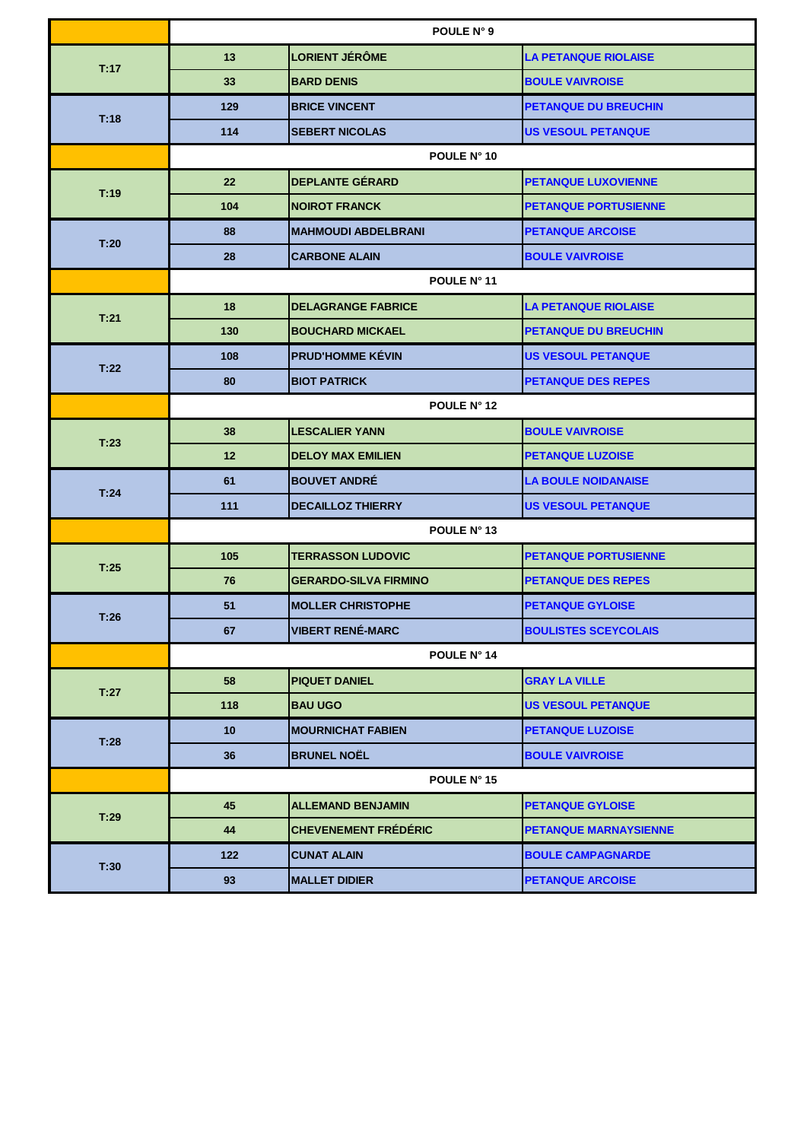|      | POULE N° 9         |                              |                             |
|------|--------------------|------------------------------|-----------------------------|
| T:17 | 13                 | <b>LORIENT JÉRÔME</b>        | <b>LA PETANQUE RIOLAISE</b> |
|      | 33                 | <b>BARD DENIS</b>            | <b>BOULE VAIVROISE</b>      |
| T:18 | 129                | <b>BRICE VINCENT</b>         | <b>PETANQUE DU BREUCHIN</b> |
|      | 114                | <b>SEBERT NICOLAS</b>        | <b>US VESOUL PETANQUE</b>   |
|      |                    | POULE N° 10                  |                             |
| T:19 | 22                 | <b>DEPLANTE GÉRARD</b>       | <b>PETANQUE LUXOVIENNE</b>  |
|      | 104                | <b>NOIROT FRANCK</b>         | <b>PETANQUE PORTUSIENNE</b> |
| T:20 | 88                 | <b>MAHMOUDI ABDELBRANI</b>   | <b>PETANQUE ARCOISE</b>     |
|      | 28                 | <b>CARBONE ALAIN</b>         | <b>BOULE VAIVROISE</b>      |
|      | POULE N° 11        |                              |                             |
| T:21 | 18                 | <b>DELAGRANGE FABRICE</b>    | <b>LA PETANQUE RIOLAISE</b> |
|      | 130                | <b>BOUCHARD MICKAEL</b>      | <b>PETANQUE DU BREUCHIN</b> |
| T:22 | 108                | <b>PRUD'HOMME KÉVIN</b>      | <b>US VESOUL PETANQUE</b>   |
|      | 80                 | <b>BIOT PATRICK</b>          | <b>PETANQUE DES REPES</b>   |
|      | POULE N° 12        |                              |                             |
| T:23 | 38                 | <b>LESCALIER YANN</b>        | <b>BOULE VAIVROISE</b>      |
|      | 12                 | <b>DELOY MAX EMILIEN</b>     | <b>PETANQUE LUZOISE</b>     |
| T:24 | 61                 | <b>BOUVET ANDRÉ</b>          | <b>LA BOULE NOIDANAISE</b>  |
|      | $111$              | <b>DECAILLOZ THIERRY</b>     | <b>US VESOUL PETANQUE</b>   |
|      | POULE N° 13        |                              |                             |
| T:25 | 105                | <b>TERRASSON LUDOVIC</b>     | <b>PETANQUE PORTUSIENNE</b> |
|      | 76                 | <b>GERARDO-SILVA FIRMINO</b> | <b>PETANQUE DES REPES</b>   |
| T:26 | 51                 | <b>MOLLER CHRISTOPHE</b>     | <b>PETANQUE GYLOISE</b>     |
|      | 67                 | <b>VIBERT RENÉ-MARC</b>      | <b>BOULISTES SCEYCOLAIS</b> |
|      | <b>POULE N° 14</b> |                              |                             |
| T:27 | 58                 | <b>PIQUET DANIEL</b>         | <b>GRAY LA VILLE</b>        |
|      | 118                | <b>BAU UGO</b>               | <b>US VESOUL PETANQUE</b>   |
| T:28 | 10                 | <b>MOURNICHAT FABIEN</b>     | <b>PETANQUE LUZOISE</b>     |
|      | 36                 | <b>BRUNEL NOËL</b>           | <b>BOULE VAIVROISE</b>      |
|      |                    | POULE N° 15                  |                             |
| T:29 | 45                 | <b>ALLEMAND BENJAMIN</b>     | <b>PETANQUE GYLOISE</b>     |
|      | 44                 | <b>CHEVENEMENT FRÉDÉRIC</b>  | PETANQUE MARNAYSIENNE       |
| T:30 | 122                | <b>CUNAT ALAIN</b>           | <b>BOULE CAMPAGNARDE</b>    |
|      | 93                 | <b>MALLET DIDIER</b>         | <b>PETANQUE ARCOISE</b>     |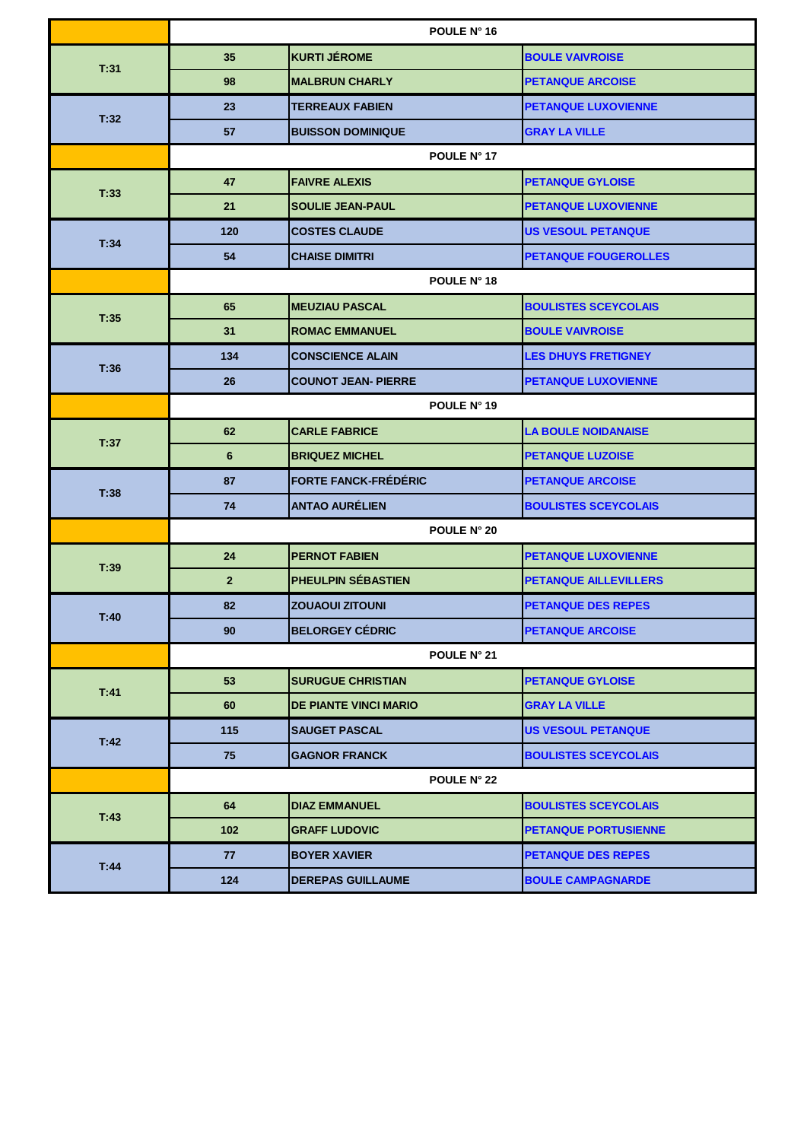|      | POULE N° 16        |                              |                              |  |
|------|--------------------|------------------------------|------------------------------|--|
| T:31 | 35                 | <b>KURTI JÉROME</b>          | <b>BOULE VAIVROISE</b>       |  |
|      | 98                 | <b>MALBRUN CHARLY</b>        | <b>PETANQUE ARCOISE</b>      |  |
| T:32 | 23                 | <b>TERREAUX FABIEN</b>       | <b>PETANQUE LUXOVIENNE</b>   |  |
|      | 57                 | <b>BUISSON DOMINIQUE</b>     | <b>GRAY LA VILLE</b>         |  |
|      |                    | POULE N° 17                  |                              |  |
| T:33 | 47                 | <b>FAIVRE ALEXIS</b>         | <b>PETANQUE GYLOISE</b>      |  |
|      | 21                 | <b>SOULIE JEAN-PAUL</b>      | <b>PETANQUE LUXOVIENNE</b>   |  |
|      | 120                | <b>COSTES CLAUDE</b>         | <b>US VESOUL PETANQUE</b>    |  |
| T:34 | 54                 | <b>CHAISE DIMITRI</b>        | <b>PETANQUE FOUGEROLLES</b>  |  |
|      | POULE N° 18        |                              |                              |  |
| T:35 | 65                 | <b>MEUZIAU PASCAL</b>        | <b>BOULISTES SCEYCOLAIS</b>  |  |
|      | 31                 | <b>ROMAC EMMANUEL</b>        | <b>BOULE VAIVROISE</b>       |  |
| T:36 | 134                | <b>CONSCIENCE ALAIN</b>      | <b>LES DHUYS FRETIGNEY</b>   |  |
|      | 26                 | <b>COUNOT JEAN- PIERRE</b>   | <b>PETANQUE LUXOVIENNE</b>   |  |
|      | POULE N° 19        |                              |                              |  |
| T:37 | 62                 | <b>CARLE FABRICE</b>         | <b>LA BOULE NOIDANAISE</b>   |  |
|      | $6\phantom{1}$     | <b>BRIQUEZ MICHEL</b>        | <b>PETANQUE LUZOISE</b>      |  |
| T:38 | 87                 | <b>FORTE FANCK-FRÉDÉRIC</b>  | <b>PETANQUE ARCOISE</b>      |  |
|      | 74                 | <b>ANTAO AURÉLIEN</b>        | <b>BOULISTES SCEYCOLAIS</b>  |  |
|      | <b>POULE N° 20</b> |                              |                              |  |
| T:39 | 24                 | <b>PERNOT FABIEN</b>         | <b>PETANQUE LUXOVIENNE</b>   |  |
|      | $\overline{2}$     | PHEULPIN SÉBASTIEN           | <b>PETANQUE AILLEVILLERS</b> |  |
| T:40 | 82                 | <b>ZOUAOUI ZITOUNI</b>       | <b>PETANQUE DES REPES</b>    |  |
|      | 90                 | <b>BELORGEY CÉDRIC</b>       | <b>PETANQUE ARCOISE</b>      |  |
|      |                    | <b>POULE N° 21</b>           |                              |  |
| T:41 | 53                 | <b>SURUGUE CHRISTIAN</b>     | <b>PETANQUE GYLOISE</b>      |  |
|      | 60                 | <b>DE PIANTE VINCI MARIO</b> | <b>GRAY LA VILLE</b>         |  |
| T:42 | 115                | <b>SAUGET PASCAL</b>         | <b>US VESOUL PETANQUE</b>    |  |
|      | 75                 | <b>GAGNOR FRANCK</b>         | <b>BOULISTES SCEYCOLAIS</b>  |  |
|      |                    | POULE N° 22                  |                              |  |
| T:43 | 64                 | <b>DIAZ EMMANUEL</b>         | <b>BOULISTES SCEYCOLAIS</b>  |  |
|      | 102                | <b>GRAFF LUDOVIC</b>         | <b>PETANQUE PORTUSIENNE</b>  |  |
| T:44 | 77                 | <b>BOYER XAVIER</b>          | <b>PETANQUE DES REPES</b>    |  |
|      | 124                | <b>DEREPAS GUILLAUME</b>     | <b>BOULE CAMPAGNARDE</b>     |  |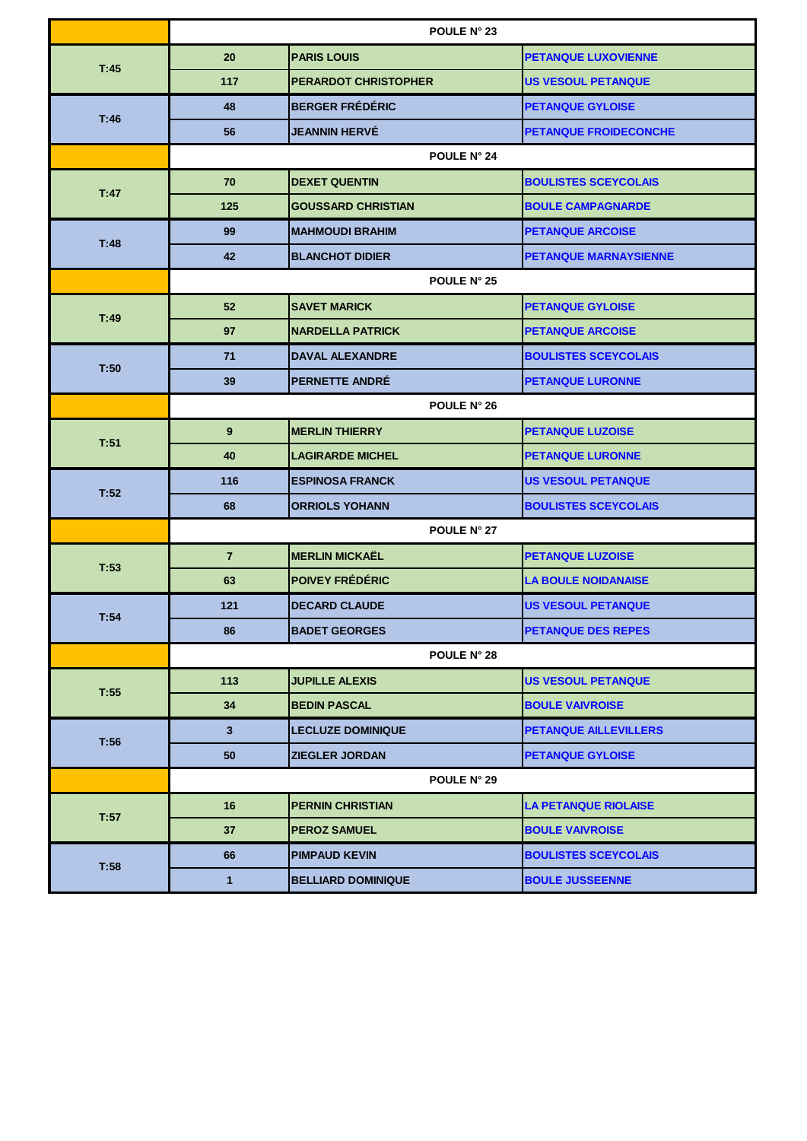|      | <b>POULE N° 23</b> |                             |                              |
|------|--------------------|-----------------------------|------------------------------|
| T:45 | 20                 | <b>PARIS LOUIS</b>          | <b>PETANQUE LUXOVIENNE</b>   |
|      | 117                | <b>PERARDOT CHRISTOPHER</b> | <b>US VESOUL PETANQUE</b>    |
| T:46 | 48                 | <b>BERGER FRÉDÉRIC</b>      | <b>PETANQUE GYLOISE</b>      |
|      | 56                 | <b>JEANNIN HERVÉ</b>        | <b>PETANQUE FROIDECONCHE</b> |
|      |                    | POULE N° 24                 |                              |
| T:47 | 70                 | <b>DEXET QUENTIN</b>        | <b>BOULISTES SCEYCOLAIS</b>  |
|      | 125                | <b>GOUSSARD CHRISTIAN</b>   | <b>BOULE CAMPAGNARDE</b>     |
| T:48 | 99                 | <b>MAHMOUDI BRAHIM</b>      | <b>PETANQUE ARCOISE</b>      |
|      | 42                 | <b>BLANCHOT DIDIER</b>      | <b>PETANQUE MARNAYSIENNE</b> |
|      | POULE N° 25        |                             |                              |
| T:49 | 52                 | <b>SAVET MARICK</b>         | <b>PETANQUE GYLOISE</b>      |
|      | 97                 | <b>NARDELLA PATRICK</b>     | <b>PETANQUE ARCOISE</b>      |
| T:50 | 71                 | <b>DAVAL ALEXANDRE</b>      | <b>BOULISTES SCEYCOLAIS</b>  |
|      | 39                 | <b>PERNETTE ANDRÉ</b>       | <b>PETANQUE LURONNE</b>      |
|      | POULE N° 26        |                             |                              |
| T:51 | 9                  | <b>MERLIN THIERRY</b>       | <b>PETANQUE LUZOISE</b>      |
|      | 40                 | <b>LAGIRARDE MICHEL</b>     | <b>PETANQUE LURONNE</b>      |
| T:52 | 116                | <b>ESPINOSA FRANCK</b>      | <b>US VESOUL PETANQUE</b>    |
|      | 68                 | <b>ORRIOLS YOHANN</b>       | <b>BOULISTES SCEYCOLAIS</b>  |
|      | POULE N° 27        |                             |                              |
| T:53 | $\overline{7}$     | <b>MERLIN MICKAËL</b>       | <b>PETANQUE LUZOISE</b>      |
|      | 63                 | <b>POIVEY FRÉDÉRIC</b>      | <b>LA BOULE NOIDANAISE</b>   |
| T:54 | 121                | <b>DECARD CLAUDE</b>        | <b>US VESOUL PETANQUE</b>    |
|      | 86                 | <b>BADET GEORGES</b>        | <b>PETANQUE DES REPES</b>    |
|      | <b>POULE N° 28</b> |                             |                              |
| T:55 | 113                | <b>JUPILLE ALEXIS</b>       | <b>US VESOUL PETANQUE</b>    |
|      | 34                 | <b>BEDIN PASCAL</b>         | <b>BOULE VAIVROISE</b>       |
| T:56 | $3\phantom{a}$     | <b>LECLUZE DOMINIQUE</b>    | <b>PETANQUE AILLEVILLERS</b> |
|      | 50                 | <b>ZIEGLER JORDAN</b>       | <b>PETANQUE GYLOISE</b>      |
|      |                    | <b>POULE N° 29</b>          |                              |
| T:57 | 16                 | <b>PERNIN CHRISTIAN</b>     | <b>LA PETANQUE RIOLAISE</b>  |
|      | 37                 | <b>PEROZ SAMUEL</b>         | <b>BOULE VAIVROISE</b>       |
| T:58 | 66                 | <b>PIMPAUD KEVIN</b>        | <b>BOULISTES SCEYCOLAIS</b>  |
|      | 1                  | <b>BELLIARD DOMINIQUE</b>   | <b>BOULE JUSSEENNE</b>       |